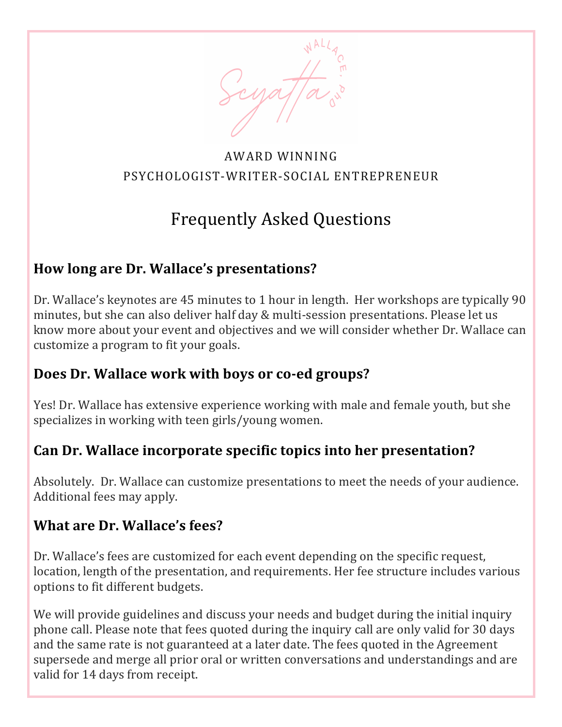

#### AWARD WINNING PSYCHOLOGIST-WRITER-SOCIAL ENTREPRENEUR

# Frequently Asked Questions

#### How long are Dr. Wallace's presentations?

Dr. Wallace's keynotes are 45 minutes to 1 hour in length. Her workshops are typically 90 minutes, but she can also deliver half day & multi-session presentations. Please let us know more about your event and objectives and we will consider whether Dr. Wallace can customize a program to fit your goals.

#### **Does Dr. Wallace work with boys or co-ed groups?**

Yes! Dr. Wallace has extensive experience working with male and female youth, but she specializes in working with teen girls/young women.

### Can Dr. Wallace incorporate specific topics into her presentation?

Absolutely. Dr. Wallace can customize presentations to meet the needs of your audience. Additional fees may apply.

#### **What are Dr. Wallace's fees?**

Dr. Wallace's fees are customized for each event depending on the specific request, location, length of the presentation, and requirements. Her fee structure includes various options to fit different budgets.

We will provide guidelines and discuss your needs and budget during the initial inquiry phone call. Please note that fees quoted during the inquiry call are only valid for 30 days and the same rate is not guaranteed at a later date. The fees quoted in the Agreement supersede and merge all prior oral or written conversations and understandings and are valid for 14 days from receipt.